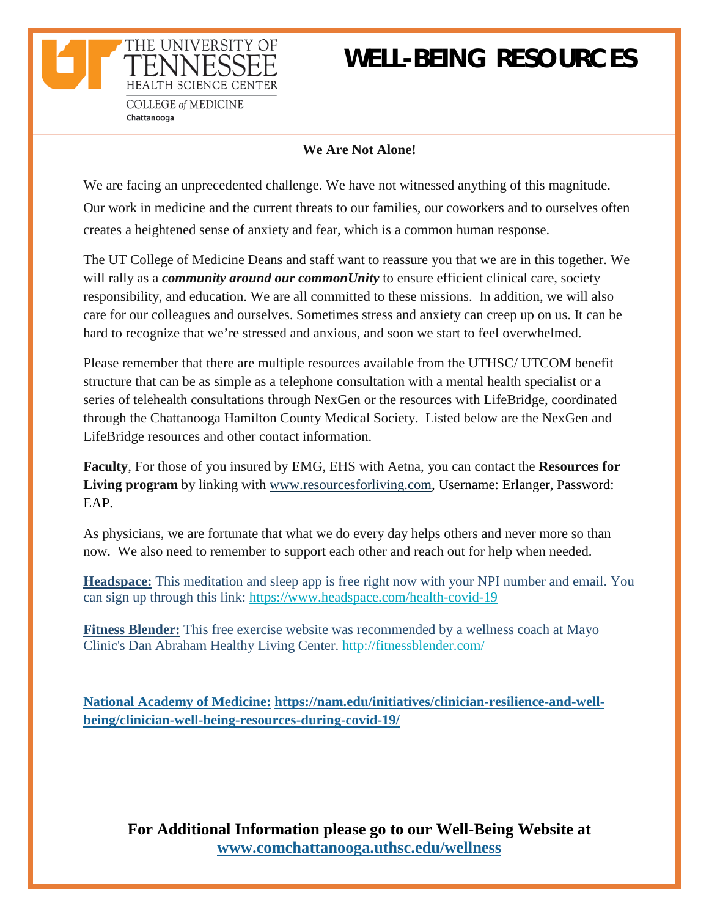## **WELL-BEING RESOURCES**

**COLLEGE of MEDICINE** Chattanooga

THE UNIVERSITY OF

HEALTH SCIENCE CENTEI

### **We Are Not Alone!**

We are facing an unprecedented challenge. We have not witnessed anything of this magnitude. Our work in medicine and the current threats to our families, our coworkers and to ourselves often creates a heightened sense of anxiety and fear, which is a common human response.

The UT College of Medicine Deans and staff want to reassure you that we are in this together. We will rally as a *community around our commonUnity* to ensure efficient clinical care, society responsibility, and education. We are all committed to these missions. In addition, we will also care for our colleagues and ourselves. Sometimes stress and anxiety can creep up on us. It can be hard to recognize that we're stressed and anxious, and soon we start to feel overwhelmed.

Please remember that there are multiple resources available from the UTHSC/ UTCOM benefit structure that can be as simple as a telephone consultation with a mental health specialist or a series of telehealth consultations through NexGen or the resources with LifeBridge, coordinated through the Chattanooga Hamilton County Medical Society. Listed below are the NexGen and LifeBridge resources and other contact information.

**Faculty**, For those of you insured by EMG, EHS with Aetna, you can contact the **Resources for Living program** by linking with [www.resourcesforliving.com,](http://www.resourcesforliving.com/) Username: Erlanger, Password: EAP.

As physicians, we are fortunate that what we do every day helps others and never more so than now. We also need to remember to support each other and reach out for help when needed.

**Headspace:** This meditation and sleep app is free right now with your NPI number and email. You can sign up through this link: [https://www.headspace.com/health-covid-19](https://content.cws.net/e2t/c/*W2wSJHy9gJjzWW3J9pBZ4BTKQh0/*W6KTq2R6G1g3LW8h_m0D4npWW90/5/f18dQhb0SmhX8XJ8T4W7xV3Bc2qwv15W32q2Wm1hkJwBMf5kdsXD6prW7cmS1s8pCQ6vVYFcSh7bLYFSW6bprKD6PZdrRW2TtcKK49WV2gW53F4fr4Bs6cnW4yx_8p2-J-SLW2z_tPY41Q2WgV-zgqs41TlcRW3Tx3Jb5ThdHgW3s1XjF51G0B4W4YFc4457-WqMW3H_Pty2DzCtRN1zBkVxNcFGzW5y9lKn2LmzS2W7BrxxY4NF7pCW6snZnc8SQ-42W9lrFCW4JwC59F2LCQHjgLJ_W8hdlsL2jvl8-W446w1q3v8J8ZW5mS3V45-M7r2W2DMkPh5pb6bVW72pmG24_4CBqW935m3d8VZFnJW6Pc2NR7PwBwqMVzQv-Vn7DDN8G42BMJp5CqN4cvldwGMfhmW5bcTws4J35SnW2N3Dcr5bpdwXW17Wm-252XgntW8trRRS40wDWPW1QfWKX4t_53nW5NNm_H4Pv86fV5XR3M8XS1W_102)

**Fitness Blender:** This free exercise website was recommended by a wellness coach at Mayo Clinic's Dan Abraham Healthy Living Center. [http://fitnessblender.com/](https://content.cws.net/e2t/c/*W2wSJHy9gJjzWW3J9pBZ4BTKQh0/*W3wNcfk516PkPN1vSd9Z5cgF40/5/f18dQhb0S83f8XJ8dWW7xV3Bc2qwv15W32q2Wm1hkJwBMf5wNlXD6prW39DrYt5C9bgpW7dcM5G6bnN8_W2y4Qn56PZxrZW1nrCGw96zRPSW6bT6L38RRjRDW5Ckvpl6vYDb4W7v70tS4RYYVxW3s1XjF51G0BFW4YFc4457-WqMW3H_Pty2DzCtRN1zBkVxNcFGzW5y9lKn2LmzS2W7BrxxY4NF7pCW6snZnc8SQ-42W9lrFCW4JwC59F2LCQHjgLJ_W8hdlsL2jvl8-W446w1q3v8J8ZW5mS3V45-M7r2W2DMkPh5pb6bVW72pmG24_4CBqW935m3d8VZFnJW6Pc2NR7PFX2dMwKJnC3qXY6W3mPqYJ4r3pt7N63dxm7yqS-hW4mPJPY714h8ZW1ny0Q87hLRsfVyZXdr7c0zHjW8XgST66HQy8hVVFVSH2f-RdXW2WTZMr73Q0vRV1-LC53qNyLw102)

**National Academy of Medicine: [https://nam.edu/initiatives/clinician-resilience-and-well](https://nam.edu/initiatives/clinician-resilience-and-well-being/clinician-well-being-resources-during-covid-19/)[being/clinician-well-being-resources-during-covid-19/](https://nam.edu/initiatives/clinician-resilience-and-well-being/clinician-well-being-resources-during-covid-19/)**

**For Additional Information please go to our Well-Being Website at [www.comchattanooga.uthsc.edu/wellness](http://www.comchattanooga.uthsc.edu/wellness)**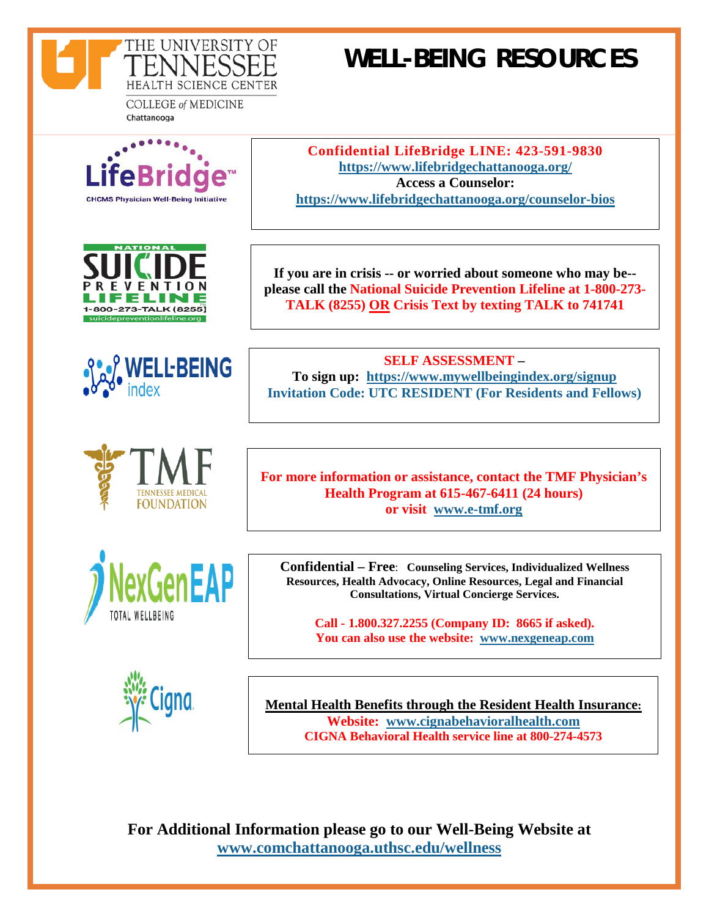

# **WELL-BEING RESOURCES**

**COLLEGE of MEDICINE** Chattanooga











**If you are in crisis -- or worried about someone who may be- please call the National Suicide Prevention Lifeline at 1-800-273- TALK (8255) OR Crisis Text by texting TALK to 741741**

**Confidential LifeBridge LINE: 423-591-9830 <https://www.lifebridgechattanooga.org/> Access a Counselor: <https://www.lifebridgechattanooga.org/counselor-bios>**

**SELF ASSESSMENT – To sign up: [https://www.mywellbeingindex.org/signup](https://www.mywellbeingindex.org/signup?code=UT%20Resident&external_click=1124) Invitation Code: UTC RESIDENT (For Residents and Fellows)**

**For more information or assistance, contact the TMF Physician's Health Program at 615-467-6411 (24 hours) or visit [www.e-tmf.org](http://www.e-tmf.org/)**

**Confidential – Free**: **Counseling Services, Individualized Wellness Resources, Health Advocacy, Online Resources, Legal and Financial Consultations, Virtual Concierge Services.**

**Call - 1.800.327.2255 (Company ID: 8665 if asked). You can also use the website: [www.nexgeneap.com](http://www.nexgeneap.com/)**



**Mental Health Benefits through the Resident Health Insurance: Website: [www.cignabehavioralhealth.com](http://www.cignabehavioralhealth.com/) CIGNA Behavioral Health service line at 800-274-4573**

**For Additional Information please go to our Well-Being Website at [www.comchattanooga.uthsc.edu/wellness](http://www.comchattanooga.uthsc.edu/wellness)**